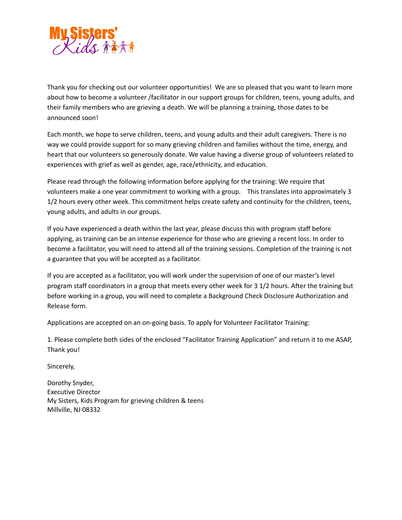

Thank you for checking out our volunteer opportunities! We are so pleased that you want to learn more about how to become a volunteer /facilitator in our support groups for children, teens, young adults, and their family members who are grieving a death. We will be planning a training, those dates to be announced soon!

Each month, we hope to serve children, teens, and young adults and their adult caregivers. There is no way we could provide support for so many grieving children and families without the time, energy, and heart that our volunteers so generously donate. We value having a diverse group of volunteers related to experiences with grief as well as gender, age, race/ethnicity, and education.

Please read through the following information before applying for the training: We require that volunteers make a one year commitment to working with a group. This translates into approximately 3 1/2 hours every other week. This commitment helps create safety and continuity for the children, teens, young adults, and adults in our groups.

If you have experienced a death within the last year, please discuss this with program staff before applying, as training can be an intense experience for those who are grieving a recent loss. In order to become a facilitator, you will need to attend all of the training sessions. Completion of the training is not a guarantee that you will be accepted as a facilitator.

If you are accepted as a facilitator, you will work under the supervision of one of our master's level program staff coordinators in a group that meets every other week for 3 1/2 hours. After the training but before working in a group, you will need to complete a Background Check Disclosure Authorization and Release form.

Applications are accepted on an on-going basis. To apply for Volunteer Facilitator Training:

1. Please complete both sides of the enclosed "Facilitator Training Application" and return it to me ASAP, Thank you!

Sincerely,

Dorothy Snyder, Executive Director My Sisters, Kids Program for grieving children & teens Millville, NJ 08332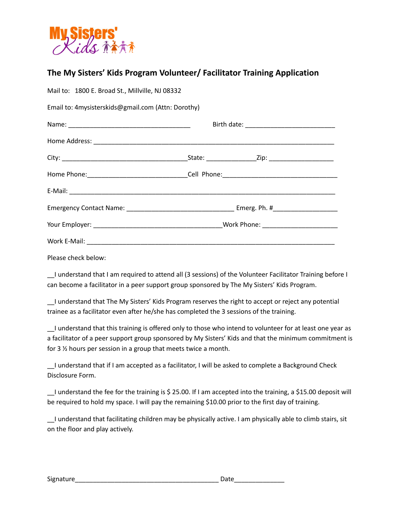

## **The My Sisters' Kids Program Volunteer/ Facilitator Training Application**

| Mail to: 1800 E. Broad St., Millville, NJ 08332    |  |
|----------------------------------------------------|--|
| Email to: 4mysisterskids@gmail.com (Attn: Dorothy) |  |
|                                                    |  |
|                                                    |  |
|                                                    |  |
|                                                    |  |
|                                                    |  |
|                                                    |  |
|                                                    |  |
|                                                    |  |
|                                                    |  |

Please check below:

I understand that I am required to attend all (3 sessions) of the Volunteer Facilitator Training before I can become a facilitator in a peer support group sponsored by The My Sisters' Kids Program.

\_\_I understand that The My Sisters' Kids Program reserves the right to accept or reject any potential trainee as a facilitator even after he/she has completed the 3 sessions of the training.

\_\_I understand that this training is offered only to those who intend to volunteer for at least one year as a facilitator of a peer support group sponsored by My Sisters' Kids and that the minimum commitment is for 3 ½ hours per session in a group that meets twice a month.

I understand that if I am accepted as a facilitator, I will be asked to complete a Background Check Disclosure Form.

\_\_I understand the fee for the training is \$ 25.00. If I am accepted into the training, a \$15.00 deposit will be required to hold my space. I will pay the remaining \$10.00 prior to the first day of training.

\_\_I understand that facilitating children may be physically active. I am physically able to climb stairs, sit on the floor and play actively.

| Signature | ነ ጎተረ |
|-----------|-------|
|           |       |